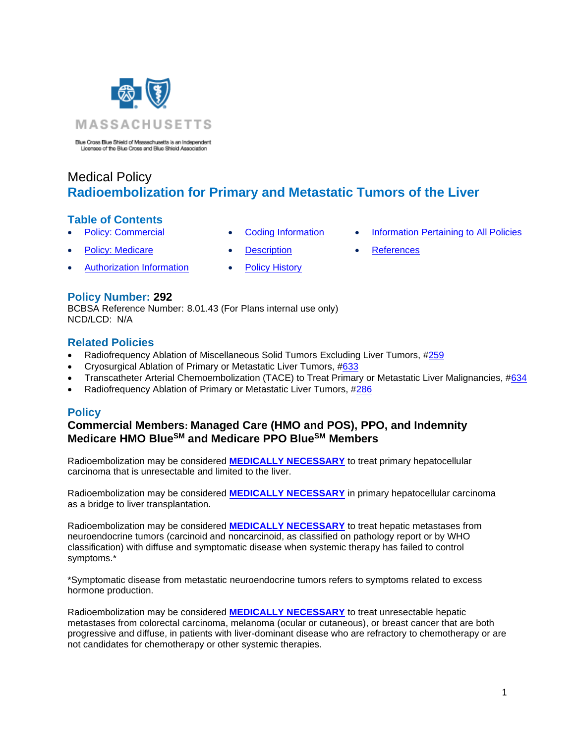

Blue Cross Blue Shield of Massachusetts is an Independent Licensee of the Blue Cross and Blue Shield Association

# Medical Policy **Radioembolization for Primary and Metastatic Tumors of the Liver**

# **Table of Contents**

- 
- **[Policy: Commercial](#page-0-0) [Coding Information](#page-1-0) [Information Pertaining to All Policies](#page-4-0)** 
	-
- 
- 
- [Authorization Information](#page-1-1) [Policy History](#page-3-0)
- 
- **[Policy: Medicare](#page-0-0) [Description](#page-2-0) [References](#page-4-1)**
- 

# **Policy Number: 292**

BCBSA Reference Number: 8.01.43 (For Plans internal use only) NCD/LCD: N/A

### **Related Policies**

- Radiofrequency Ablation of Miscellaneous Solid Tumors Excluding Liver Tumors, [#259](http://www.bluecrossma.org/medical-policies/sites/g/files/csphws2091/files/acquiadam-assets/259%20Radiofrequency%20Ablation%20of%20Miscellaneous%20Solid%20Tumors%20Excluding%20Liver%20Tumors%20prn.pdf#page=1)
- Cryosurgical Ablation of Primary or Metastatic Liver Tumors, [#633](http://www.bluecrossma.org/medical-policies/sites/g/files/csphws2091/files/acquiadam-assets/633%20Cryosurgical%20Ablation%20of%20Primary%20or%20Metastatic%20Liver%20Tumors%20prn.pdf#page=1)
- Transcatheter Arterial Chemoembolization (TACE) to Treat Primary or Metastatic Liver Malignancies, [#634](http://www.bluecrossma.org/medical-policies/sites/g/files/csphws2091/files/acquiadam-assets/634%20Transcatheter%20Arterial%20Chemoembolization%20-%20TACE%20-%20to%20Treat%20Primary%20or%20Metastatic%20Liver%20Malignancies%20prn.pdf#page=1)
- <span id="page-0-0"></span>• Radiofrequency Ablation of Primary or Metastatic Liver Tumors, [#286](http://www.bluecrossma.org/medical-policies/sites/g/files/csphws2091/files/acquiadam-assets/286%20Radiofrequency%20Ablation%20of%20Primary%20or%20Metastatic%20Liver%20Tumors%20prn.pdf#page=1)

# **Policy**

# **Commercial Members: Managed Care (HMO and POS), PPO, and Indemnity Medicare HMO BlueSM and Medicare PPO BlueSM Members**

Radioembolization may be considered **[MEDICALLY NECESSARY](https://www.bluecrossma.org/medical-policies/sites/g/files/csphws2091/files/acquiadam-assets/Definition%20of%20Med%20Nec%20Inv%20Not%20Med%20Nec%20prn.pdf#page=1)** to treat primary hepatocellular carcinoma that is unresectable and limited to the liver.

Radioembolization may be considered **[MEDICALLY NECESSARY](https://www.bluecrossma.org/medical-policies/sites/g/files/csphws2091/files/acquiadam-assets/Definition%20of%20Med%20Nec%20Inv%20Not%20Med%20Nec%20prn.pdf#page=1)** in primary hepatocellular carcinoma as a bridge to liver transplantation.

Radioembolization may be considered **[MEDICALLY NECESSARY](https://www.bluecrossma.org/medical-policies/sites/g/files/csphws2091/files/acquiadam-assets/Definition%20of%20Med%20Nec%20Inv%20Not%20Med%20Nec%20prn.pdf#page=1)** to treat hepatic metastases from neuroendocrine tumors (carcinoid and noncarcinoid, as classified on pathology report or by WHO classification) with diffuse and symptomatic disease when systemic therapy has failed to control symptoms.\*

\*Symptomatic disease from metastatic neuroendocrine tumors refers to symptoms related to excess hormone production.

Radioembolization may be considered **[MEDICALLY NECESSARY](https://www.bluecrossma.org/medical-policies/sites/g/files/csphws2091/files/acquiadam-assets/Definition%20of%20Med%20Nec%20Inv%20Not%20Med%20Nec%20prn.pdf#page=1)** to treat unresectable hepatic metastases from colorectal carcinoma, melanoma (ocular or cutaneous), or breast cancer that are both progressive and diffuse, in patients with liver-dominant disease who are refractory to chemotherapy or are not candidates for chemotherapy or other systemic therapies.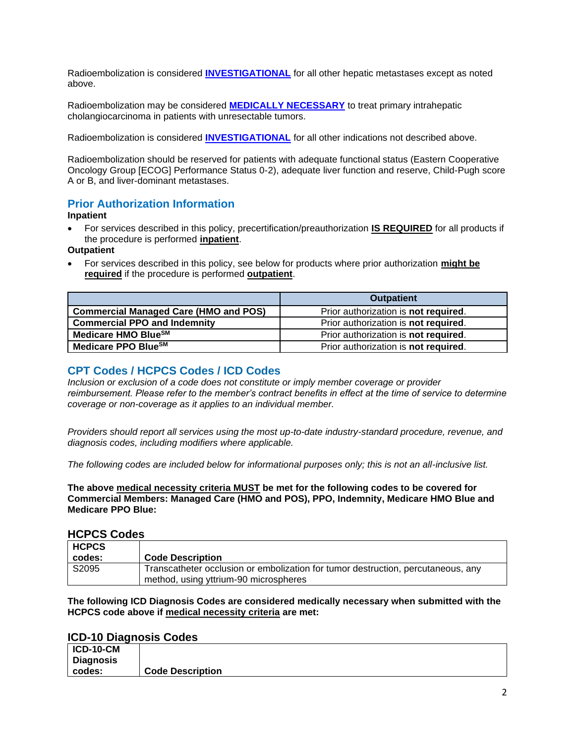Radioembolization is considered **[INVESTIGATIONAL](https://www.bluecrossma.org/medical-policies/sites/g/files/csphws2091/files/acquiadam-assets/Definition%20of%20Med%20Nec%20Inv%20Not%20Med%20Nec%20prn.pdf#page=1)** for all other hepatic metastases except as noted above.

Radioembolization may be considered **[MEDICALLY NECESSARY](https://www.bluecrossma.org/medical-policies/sites/g/files/csphws2091/files/acquiadam-assets/Definition%20of%20Med%20Nec%20Inv%20Not%20Med%20Nec%20prn.pdf#page=1)** to treat primary intrahepatic cholangiocarcinoma in patients with unresectable tumors.

Radioembolization is considered **[INVESTIGATIONAL](https://www.bluecrossma.org/medical-policies/sites/g/files/csphws2091/files/acquiadam-assets/Definition%20of%20Med%20Nec%20Inv%20Not%20Med%20Nec%20prn.pdf#page=1)** for all other indications not described above.

Radioembolization should be reserved for patients with adequate functional status (Eastern Cooperative Oncology Group [ECOG] Performance Status 0-2), adequate liver function and reserve, Child-Pugh score A or B, and liver-dominant metastases.

# <span id="page-1-1"></span>**Prior Authorization Information**

#### **Inpatient**

• For services described in this policy, precertification/preauthorization **IS REQUIRED** for all products if the procedure is performed **inpatient**.

#### **Outpatient**

• For services described in this policy, see below for products where prior authorization **might be required** if the procedure is performed **outpatient**.

|                                              | <b>Outpatient</b>                            |
|----------------------------------------------|----------------------------------------------|
| <b>Commercial Managed Care (HMO and POS)</b> | Prior authorization is not required.         |
| <b>Commercial PPO and Indemnity</b>          | Prior authorization is not required.         |
| Medicare HMO BlueSM                          | Prior authorization is <b>not required</b> . |
| Medicare PPO Blue <sup>SM</sup>              | Prior authorization is not required.         |

### <span id="page-1-0"></span>**CPT Codes / HCPCS Codes / ICD Codes**

*Inclusion or exclusion of a code does not constitute or imply member coverage or provider reimbursement. Please refer to the member's contract benefits in effect at the time of service to determine coverage or non-coverage as it applies to an individual member.*

*Providers should report all services using the most up-to-date industry-standard procedure, revenue, and diagnosis codes, including modifiers where applicable.*

*The following codes are included below for informational purposes only; this is not an all-inclusive list.*

**The above medical necessity criteria MUST be met for the following codes to be covered for Commercial Members: Managed Care (HMO and POS), PPO, Indemnity, Medicare HMO Blue and Medicare PPO Blue:**

#### **HCPCS Codes**

| <b>HCPCS</b> |                                                                                  |
|--------------|----------------------------------------------------------------------------------|
| codes:       | <b>Code Description</b>                                                          |
| S2095        | Transcatheter occlusion or embolization for tumor destruction, percutaneous, any |
|              | method, using yttrium-90 microspheres                                            |

**The following ICD Diagnosis Codes are considered medically necessary when submitted with the HCPCS code above if medical necessity criteria are met:**

### **ICD-10 Diagnosis Codes**

| $ICD-10-CM$      |                         |
|------------------|-------------------------|
| <b>Diagnosis</b> |                         |
| codes:           | <b>Code Description</b> |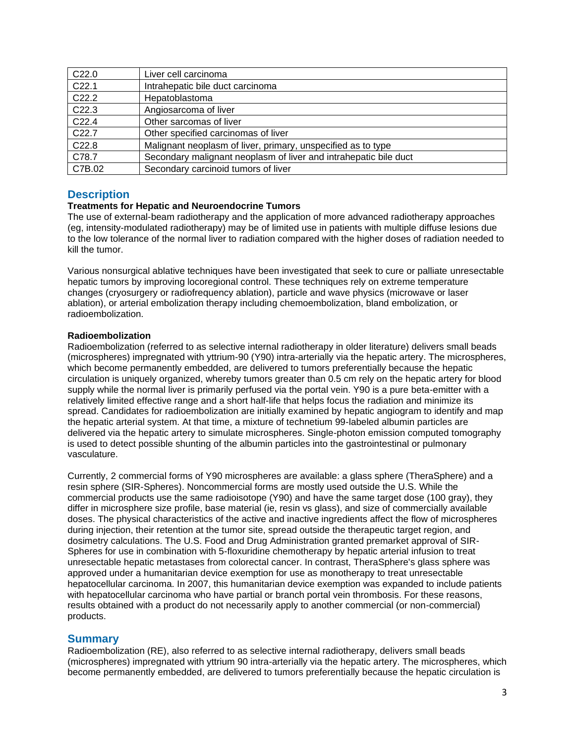| C22.0             | Liver cell carcinoma                                             |
|-------------------|------------------------------------------------------------------|
| C <sub>22.1</sub> | Intrahepatic bile duct carcinoma                                 |
| C <sub>22.2</sub> | Hepatoblastoma                                                   |
| C22.3             | Angiosarcoma of liver                                            |
| C <sub>22.4</sub> | Other sarcomas of liver                                          |
| C <sub>22.7</sub> | Other specified carcinomas of liver                              |
| C22.8             | Malignant neoplasm of liver, primary, unspecified as to type     |
| C78.7             | Secondary malignant neoplasm of liver and intrahepatic bile duct |
| C7B.02            | Secondary carcinoid tumors of liver                              |

### <span id="page-2-0"></span>**Description**

#### **Treatments for Hepatic and Neuroendocrine Tumors**

The use of external-beam radiotherapy and the application of more advanced radiotherapy approaches (eg, intensity-modulated radiotherapy) may be of limited use in patients with multiple diffuse lesions due to the low tolerance of the normal liver to radiation compared with the higher doses of radiation needed to kill the tumor.

Various nonsurgical ablative techniques have been investigated that seek to cure or palliate unresectable hepatic tumors by improving locoregional control. These techniques rely on extreme temperature changes (cryosurgery or radiofrequency ablation), particle and wave physics (microwave or laser ablation), or arterial embolization therapy including chemoembolization, bland embolization, or radioembolization.

#### **Radioembolization**

Radioembolization (referred to as selective internal radiotherapy in older literature) delivers small beads (microspheres) impregnated with yttrium-90 (Y90) intra-arterially via the hepatic artery. The microspheres, which become permanently embedded, are delivered to tumors preferentially because the hepatic circulation is uniquely organized, whereby tumors greater than 0.5 cm rely on the hepatic artery for blood supply while the normal liver is primarily perfused via the portal vein. Y90 is a pure beta-emitter with a relatively limited effective range and a short half-life that helps focus the radiation and minimize its spread. Candidates for radioembolization are initially examined by hepatic angiogram to identify and map the hepatic arterial system. At that time, a mixture of technetium 99-labeled albumin particles are delivered via the hepatic artery to simulate microspheres. Single-photon emission computed tomography is used to detect possible shunting of the albumin particles into the gastrointestinal or pulmonary vasculature.

Currently, 2 commercial forms of Y90 microspheres are available: a glass sphere (TheraSphere) and a resin sphere (SIR-Spheres). Noncommercial forms are mostly used outside the U.S. While the commercial products use the same radioisotope (Y90) and have the same target dose (100 gray), they differ in microsphere size profile, base material (ie, resin vs glass), and size of commercially available doses. The physical characteristics of the active and inactive ingredients affect the flow of microspheres during injection, their retention at the tumor site, spread outside the therapeutic target region, and dosimetry calculations. The U.S. Food and Drug Administration granted premarket approval of SIR-Spheres for use in combination with 5-floxuridine chemotherapy by hepatic arterial infusion to treat unresectable hepatic metastases from colorectal cancer. In contrast, TheraSphere's glass sphere was approved under a humanitarian device exemption for use as monotherapy to treat unresectable hepatocellular carcinoma. In 2007, this humanitarian device exemption was expanded to include patients with hepatocellular carcinoma who have partial or branch portal vein thrombosis. For these reasons, results obtained with a product do not necessarily apply to another commercial (or non-commercial) products.

### **Summary**

Radioembolization (RE), also referred to as selective internal radiotherapy, delivers small beads (microspheres) impregnated with yttrium 90 intra-arterially via the hepatic artery. The microspheres, which become permanently embedded, are delivered to tumors preferentially because the hepatic circulation is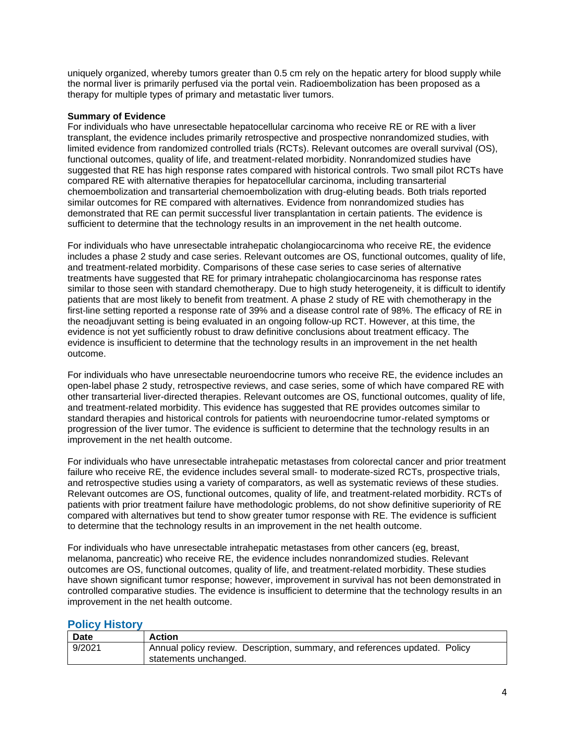uniquely organized, whereby tumors greater than 0.5 cm rely on the hepatic artery for blood supply while the normal liver is primarily perfused via the portal vein. Radioembolization has been proposed as a therapy for multiple types of primary and metastatic liver tumors.

#### **Summary of Evidence**

For individuals who have unresectable hepatocellular carcinoma who receive RE or RE with a liver transplant, the evidence includes primarily retrospective and prospective nonrandomized studies, with limited evidence from randomized controlled trials (RCTs). Relevant outcomes are overall survival (OS), functional outcomes, quality of life, and treatment-related morbidity. Nonrandomized studies have suggested that RE has high response rates compared with historical controls. Two small pilot RCTs have compared RE with alternative therapies for hepatocellular carcinoma, including transarterial chemoembolization and transarterial chemoembolization with drug-eluting beads. Both trials reported similar outcomes for RE compared with alternatives. Evidence from nonrandomized studies has demonstrated that RE can permit successful liver transplantation in certain patients. The evidence is sufficient to determine that the technology results in an improvement in the net health outcome.

For individuals who have unresectable intrahepatic cholangiocarcinoma who receive RE, the evidence includes a phase 2 study and case series. Relevant outcomes are OS, functional outcomes, quality of life, and treatment-related morbidity. Comparisons of these case series to case series of alternative treatments have suggested that RE for primary intrahepatic cholangiocarcinoma has response rates similar to those seen with standard chemotherapy. Due to high study heterogeneity, it is difficult to identify patients that are most likely to benefit from treatment. A phase 2 study of RE with chemotherapy in the first-line setting reported a response rate of 39% and a disease control rate of 98%. The efficacy of RE in the neoadjuvant setting is being evaluated in an ongoing follow-up RCT. However, at this time, the evidence is not yet sufficiently robust to draw definitive conclusions about treatment efficacy. The evidence is insufficient to determine that the technology results in an improvement in the net health outcome.

For individuals who have unresectable neuroendocrine tumors who receive RE, the evidence includes an open-label phase 2 study, retrospective reviews, and case series, some of which have compared RE with other transarterial liver-directed therapies. Relevant outcomes are OS, functional outcomes, quality of life, and treatment-related morbidity. This evidence has suggested that RE provides outcomes similar to standard therapies and historical controls for patients with neuroendocrine tumor-related symptoms or progression of the liver tumor. The evidence is sufficient to determine that the technology results in an improvement in the net health outcome.

For individuals who have unresectable intrahepatic metastases from colorectal cancer and prior treatment failure who receive RE, the evidence includes several small- to moderate-sized RCTs, prospective trials, and retrospective studies using a variety of comparators, as well as systematic reviews of these studies. Relevant outcomes are OS, functional outcomes, quality of life, and treatment-related morbidity. RCTs of patients with prior treatment failure have methodologic problems, do not show definitive superiority of RE compared with alternatives but tend to show greater tumor response with RE. The evidence is sufficient to determine that the technology results in an improvement in the net health outcome.

For individuals who have unresectable intrahepatic metastases from other cancers (eg, breast, melanoma, pancreatic) who receive RE, the evidence includes nonrandomized studies. Relevant outcomes are OS, functional outcomes, quality of life, and treatment-related morbidity. These studies have shown significant tumor response; however, improvement in survival has not been demonstrated in controlled comparative studies. The evidence is insufficient to determine that the technology results in an improvement in the net health outcome.

### <span id="page-3-0"></span>**Policy History**

| <b>Date</b> | <b>Action</b>                                                              |
|-------------|----------------------------------------------------------------------------|
| 9/2021      | Annual policy review. Description, summary, and references updated. Policy |
|             | statements unchanged.                                                      |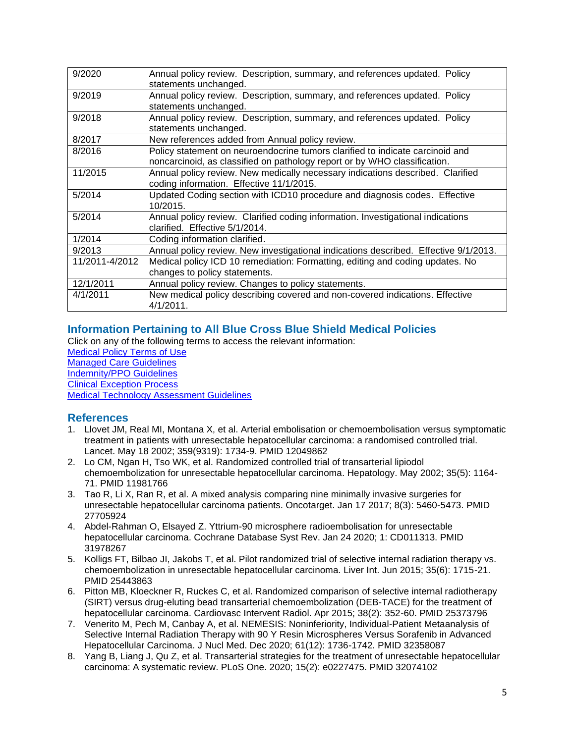| 9/2020         | Annual policy review. Description, summary, and references updated. Policy<br>statements unchanged.                                                        |
|----------------|------------------------------------------------------------------------------------------------------------------------------------------------------------|
| 9/2019         | Annual policy review. Description, summary, and references updated. Policy<br>statements unchanged.                                                        |
| 9/2018         | Annual policy review. Description, summary, and references updated. Policy<br>statements unchanged.                                                        |
| 8/2017         | New references added from Annual policy review.                                                                                                            |
| 8/2016         | Policy statement on neuroendocrine tumors clarified to indicate carcinoid and<br>noncarcinoid, as classified on pathology report or by WHO classification. |
| 11/2015        | Annual policy review. New medically necessary indications described. Clarified<br>coding information. Effective 11/1/2015.                                 |
| 5/2014         | Updated Coding section with ICD10 procedure and diagnosis codes. Effective<br>10/2015.                                                                     |
| 5/2014         | Annual policy review. Clarified coding information. Investigational indications<br>clarified. Effective 5/1/2014.                                          |
| 1/2014         | Coding information clarified.                                                                                                                              |
| 9/2013         | Annual policy review. New investigational indications described. Effective 9/1/2013.                                                                       |
| 11/2011-4/2012 | Medical policy ICD 10 remediation: Formatting, editing and coding updates. No                                                                              |
|                | changes to policy statements.                                                                                                                              |
| 12/1/2011      | Annual policy review. Changes to policy statements.                                                                                                        |
| 4/1/2011       | New medical policy describing covered and non-covered indications. Effective<br>$4/1/2011$ .                                                               |

# <span id="page-4-0"></span>**Information Pertaining to All Blue Cross Blue Shield Medical Policies**

Click on any of the following terms to access the relevant information: [Medical Policy Terms of Use](http://www.bluecrossma.org/medical-policies/sites/g/files/csphws2091/files/acquiadam-assets/Medical_Policy_Terms_of_Use_prn.pdf) [Managed Care Guidelines](http://www.bluecrossma.org/medical-policies/sites/g/files/csphws2091/files/acquiadam-assets/Managed_Care_Guidelines_prn.pdf) [Indemnity/PPO Guidelines](http://www.bluecrossma.org/medical-policies/sites/g/files/csphws2091/files/acquiadam-assets/Indemnity_and_PPO_Guidelines_prn.pdf) [Clinical Exception Process](http://www.bluecrossma.org/medical-policies/sites/g/files/csphws2091/files/acquiadam-assets/Clinical_Exception_Process_prn.pdf) [Medical Technology Assessment Guidelines](http://www.bluecrossma.org/medical-policies/sites/g/files/csphws2091/files/acquiadam-assets/Medical_Technology_Assessment_Guidelines_prn.pdf)

# <span id="page-4-1"></span>**References**

- 1. Llovet JM, Real MI, Montana X, et al. Arterial embolisation or chemoembolisation versus symptomatic treatment in patients with unresectable hepatocellular carcinoma: a randomised controlled trial. Lancet. May 18 2002; 359(9319): 1734-9. PMID 12049862
- 2. Lo CM, Ngan H, Tso WK, et al. Randomized controlled trial of transarterial lipiodol chemoembolization for unresectable hepatocellular carcinoma. Hepatology. May 2002; 35(5): 1164- 71. PMID 11981766
- 3. Tao R, Li X, Ran R, et al. A mixed analysis comparing nine minimally invasive surgeries for unresectable hepatocellular carcinoma patients. Oncotarget. Jan 17 2017; 8(3): 5460-5473. PMID 27705924
- 4. Abdel-Rahman O, Elsayed Z. Yttrium-90 microsphere radioembolisation for unresectable hepatocellular carcinoma. Cochrane Database Syst Rev. Jan 24 2020; 1: CD011313. PMID 31978267
- 5. Kolligs FT, Bilbao JI, Jakobs T, et al. Pilot randomized trial of selective internal radiation therapy vs. chemoembolization in unresectable hepatocellular carcinoma. Liver Int. Jun 2015; 35(6): 1715-21. PMID 25443863
- 6. Pitton MB, Kloeckner R, Ruckes C, et al. Randomized comparison of selective internal radiotherapy (SIRT) versus drug-eluting bead transarterial chemoembolization (DEB-TACE) for the treatment of hepatocellular carcinoma. Cardiovasc Intervent Radiol. Apr 2015; 38(2): 352-60. PMID 25373796
- 7. Venerito M, Pech M, Canbay A, et al. NEMESIS: Noninferiority, Individual-Patient Metaanalysis of Selective Internal Radiation Therapy with 90 Y Resin Microspheres Versus Sorafenib in Advanced Hepatocellular Carcinoma. J Nucl Med. Dec 2020; 61(12): 1736-1742. PMID 32358087
- 8. Yang B, Liang J, Qu Z, et al. Transarterial strategies for the treatment of unresectable hepatocellular carcinoma: A systematic review. PLoS One. 2020; 15(2): e0227475. PMID 32074102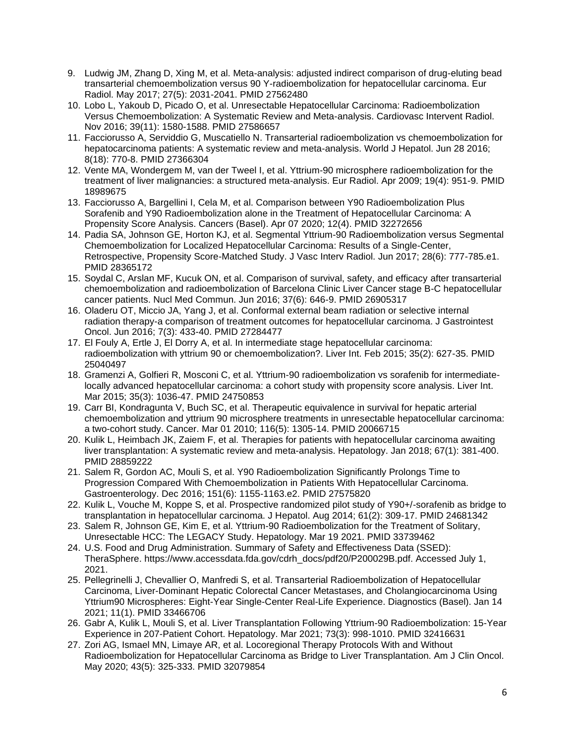- 9. Ludwig JM, Zhang D, Xing M, et al. Meta-analysis: adjusted indirect comparison of drug-eluting bead transarterial chemoembolization versus 90 Y-radioembolization for hepatocellular carcinoma. Eur Radiol. May 2017; 27(5): 2031-2041. PMID 27562480
- 10. Lobo L, Yakoub D, Picado O, et al. Unresectable Hepatocellular Carcinoma: Radioembolization Versus Chemoembolization: A Systematic Review and Meta-analysis. Cardiovasc Intervent Radiol. Nov 2016; 39(11): 1580-1588. PMID 27586657
- 11. Facciorusso A, Serviddio G, Muscatiello N. Transarterial radioembolization vs chemoembolization for hepatocarcinoma patients: A systematic review and meta-analysis. World J Hepatol. Jun 28 2016; 8(18): 770-8. PMID 27366304
- 12. Vente MA, Wondergem M, van der Tweel I, et al. Yttrium-90 microsphere radioembolization for the treatment of liver malignancies: a structured meta-analysis. Eur Radiol. Apr 2009; 19(4): 951-9. PMID 18989675
- 13. Facciorusso A, Bargellini I, Cela M, et al. Comparison between Y90 Radioembolization Plus Sorafenib and Y90 Radioembolization alone in the Treatment of Hepatocellular Carcinoma: A Propensity Score Analysis. Cancers (Basel). Apr 07 2020; 12(4). PMID 32272656
- 14. Padia SA, Johnson GE, Horton KJ, et al. Segmental Yttrium-90 Radioembolization versus Segmental Chemoembolization for Localized Hepatocellular Carcinoma: Results of a Single-Center, Retrospective, Propensity Score-Matched Study. J Vasc Interv Radiol. Jun 2017; 28(6): 777-785.e1. PMID 28365172
- 15. Soydal C, Arslan MF, Kucuk ON, et al. Comparison of survival, safety, and efficacy after transarterial chemoembolization and radioembolization of Barcelona Clinic Liver Cancer stage B-C hepatocellular cancer patients. Nucl Med Commun. Jun 2016; 37(6): 646-9. PMID 26905317
- 16. Oladeru OT, Miccio JA, Yang J, et al. Conformal external beam radiation or selective internal radiation therapy-a comparison of treatment outcomes for hepatocellular carcinoma. J Gastrointest Oncol. Jun 2016; 7(3): 433-40. PMID 27284477
- 17. El Fouly A, Ertle J, El Dorry A, et al. In intermediate stage hepatocellular carcinoma: radioembolization with yttrium 90 or chemoembolization?. Liver Int. Feb 2015; 35(2): 627-35. PMID 25040497
- 18. Gramenzi A, Golfieri R, Mosconi C, et al. Yttrium-90 radioembolization vs sorafenib for intermediatelocally advanced hepatocellular carcinoma: a cohort study with propensity score analysis. Liver Int. Mar 2015; 35(3): 1036-47. PMID 24750853
- 19. Carr BI, Kondragunta V, Buch SC, et al. Therapeutic equivalence in survival for hepatic arterial chemoembolization and yttrium 90 microsphere treatments in unresectable hepatocellular carcinoma: a two-cohort study. Cancer. Mar 01 2010; 116(5): 1305-14. PMID 20066715
- 20. Kulik L, Heimbach JK, Zaiem F, et al. Therapies for patients with hepatocellular carcinoma awaiting liver transplantation: A systematic review and meta-analysis. Hepatology. Jan 2018; 67(1): 381-400. PMID 28859222
- 21. Salem R, Gordon AC, Mouli S, et al. Y90 Radioembolization Significantly Prolongs Time to Progression Compared With Chemoembolization in Patients With Hepatocellular Carcinoma. Gastroenterology. Dec 2016; 151(6): 1155-1163.e2. PMID 27575820
- 22. Kulik L, Vouche M, Koppe S, et al. Prospective randomized pilot study of Y90+/-sorafenib as bridge to transplantation in hepatocellular carcinoma. J Hepatol. Aug 2014; 61(2): 309-17. PMID 24681342
- 23. Salem R, Johnson GE, Kim E, et al. Yttrium-90 Radioembolization for the Treatment of Solitary, Unresectable HCC: The LEGACY Study. Hepatology. Mar 19 2021. PMID 33739462
- 24. U.S. Food and Drug Administration. Summary of Safety and Effectiveness Data (SSED): TheraSphere. https://www.accessdata.fda.gov/cdrh\_docs/pdf20/P200029B.pdf. Accessed July 1, 2021.
- 25. Pellegrinelli J, Chevallier O, Manfredi S, et al. Transarterial Radioembolization of Hepatocellular Carcinoma, Liver-Dominant Hepatic Colorectal Cancer Metastases, and Cholangiocarcinoma Using Yttrium90 Microspheres: Eight-Year Single-Center Real-Life Experience. Diagnostics (Basel). Jan 14 2021; 11(1). PMID 33466706
- 26. Gabr A, Kulik L, Mouli S, et al. Liver Transplantation Following Yttrium-90 Radioembolization: 15-Year Experience in 207-Patient Cohort. Hepatology. Mar 2021; 73(3): 998-1010. PMID 32416631
- 27. Zori AG, Ismael MN, Limaye AR, et al. Locoregional Therapy Protocols With and Without Radioembolization for Hepatocellular Carcinoma as Bridge to Liver Transplantation. Am J Clin Oncol. May 2020; 43(5): 325-333. PMID 32079854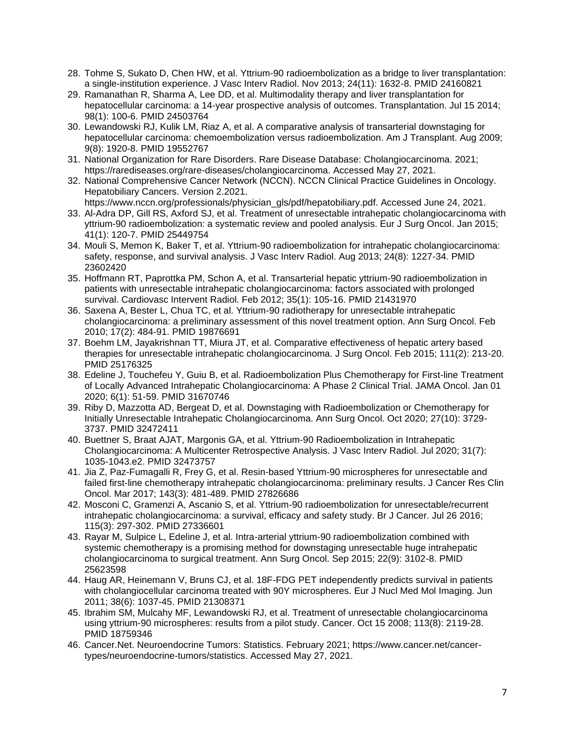- 28. Tohme S, Sukato D, Chen HW, et al. Yttrium-90 radioembolization as a bridge to liver transplantation: a single-institution experience. J Vasc Interv Radiol. Nov 2013; 24(11): 1632-8. PMID 24160821
- 29. Ramanathan R, Sharma A, Lee DD, et al. Multimodality therapy and liver transplantation for hepatocellular carcinoma: a 14-year prospective analysis of outcomes. Transplantation. Jul 15 2014; 98(1): 100-6. PMID 24503764
- 30. Lewandowski RJ, Kulik LM, Riaz A, et al. A comparative analysis of transarterial downstaging for hepatocellular carcinoma: chemoembolization versus radioembolization. Am J Transplant. Aug 2009; 9(8): 1920-8. PMID 19552767
- 31. National Organization for Rare Disorders. Rare Disease Database: Cholangiocarcinoma. 2021; https://rarediseases.org/rare-diseases/cholangiocarcinoma. Accessed May 27, 2021.
- 32. National Comprehensive Cancer Network (NCCN). NCCN Clinical Practice Guidelines in Oncology. Hepatobiliary Cancers. Version 2.2021.
- https://www.nccn.org/professionals/physician\_gls/pdf/hepatobiliary.pdf. Accessed June 24, 2021. 33. Al-Adra DP, Gill RS, Axford SJ, et al. Treatment of unresectable intrahepatic cholangiocarcinoma with yttrium-90 radioembolization: a systematic review and pooled analysis. Eur J Surg Oncol. Jan 2015; 41(1): 120-7. PMID 25449754
- 34. Mouli S, Memon K, Baker T, et al. Yttrium-90 radioembolization for intrahepatic cholangiocarcinoma: safety, response, and survival analysis. J Vasc Interv Radiol. Aug 2013; 24(8): 1227-34. PMID 23602420
- 35. Hoffmann RT, Paprottka PM, Schon A, et al. Transarterial hepatic yttrium-90 radioembolization in patients with unresectable intrahepatic cholangiocarcinoma: factors associated with prolonged survival. Cardiovasc Intervent Radiol. Feb 2012; 35(1): 105-16. PMID 21431970
- 36. Saxena A, Bester L, Chua TC, et al. Yttrium-90 radiotherapy for unresectable intrahepatic cholangiocarcinoma: a preliminary assessment of this novel treatment option. Ann Surg Oncol. Feb 2010; 17(2): 484-91. PMID 19876691
- 37. Boehm LM, Jayakrishnan TT, Miura JT, et al. Comparative effectiveness of hepatic artery based therapies for unresectable intrahepatic cholangiocarcinoma. J Surg Oncol. Feb 2015; 111(2): 213-20. PMID 25176325
- 38. Edeline J, Touchefeu Y, Guiu B, et al. Radioembolization Plus Chemotherapy for First-line Treatment of Locally Advanced Intrahepatic Cholangiocarcinoma: A Phase 2 Clinical Trial. JAMA Oncol. Jan 01 2020; 6(1): 51-59. PMID 31670746
- 39. Riby D, Mazzotta AD, Bergeat D, et al. Downstaging with Radioembolization or Chemotherapy for Initially Unresectable Intrahepatic Cholangiocarcinoma. Ann Surg Oncol. Oct 2020; 27(10): 3729- 3737. PMID 32472411
- 40. Buettner S, Braat AJAT, Margonis GA, et al. Yttrium-90 Radioembolization in Intrahepatic Cholangiocarcinoma: A Multicenter Retrospective Analysis. J Vasc Interv Radiol. Jul 2020; 31(7): 1035-1043.e2. PMID 32473757
- 41. Jia Z, Paz-Fumagalli R, Frey G, et al. Resin-based Yttrium-90 microspheres for unresectable and failed first-line chemotherapy intrahepatic cholangiocarcinoma: preliminary results. J Cancer Res Clin Oncol. Mar 2017; 143(3): 481-489. PMID 27826686
- 42. Mosconi C, Gramenzi A, Ascanio S, et al. Yttrium-90 radioembolization for unresectable/recurrent intrahepatic cholangiocarcinoma: a survival, efficacy and safety study. Br J Cancer. Jul 26 2016; 115(3): 297-302. PMID 27336601
- 43. Rayar M, Sulpice L, Edeline J, et al. Intra-arterial yttrium-90 radioembolization combined with systemic chemotherapy is a promising method for downstaging unresectable huge intrahepatic cholangiocarcinoma to surgical treatment. Ann Surg Oncol. Sep 2015; 22(9): 3102-8. PMID 25623598
- 44. Haug AR, Heinemann V, Bruns CJ, et al. 18F-FDG PET independently predicts survival in patients with cholangiocellular carcinoma treated with 90Y microspheres. Eur J Nucl Med Mol Imaging. Jun 2011; 38(6): 1037-45. PMID 21308371
- 45. Ibrahim SM, Mulcahy MF, Lewandowski RJ, et al. Treatment of unresectable cholangiocarcinoma using yttrium-90 microspheres: results from a pilot study. Cancer. Oct 15 2008; 113(8): 2119-28. PMID 18759346
- 46. Cancer.Net. Neuroendocrine Tumors: Statistics. February 2021; https://www.cancer.net/cancertypes/neuroendocrine-tumors/statistics. Accessed May 27, 2021.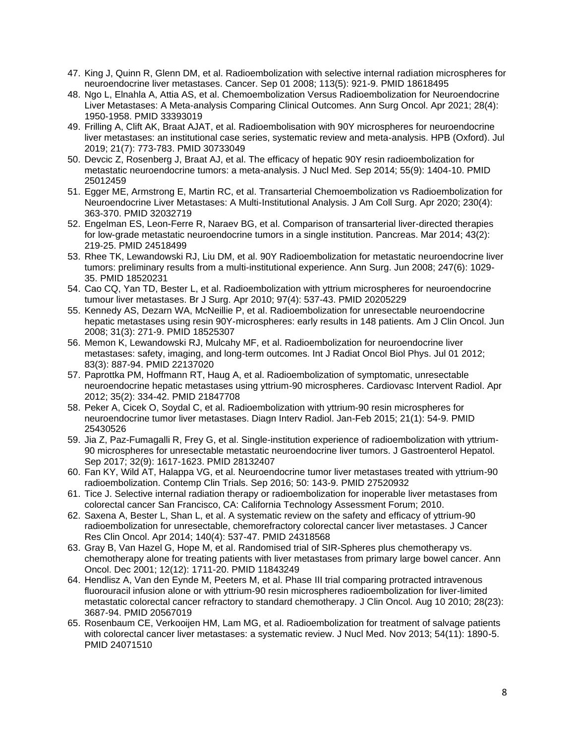- 47. King J, Quinn R, Glenn DM, et al. Radioembolization with selective internal radiation microspheres for neuroendocrine liver metastases. Cancer. Sep 01 2008; 113(5): 921-9. PMID 18618495
- 48. Ngo L, Elnahla A, Attia AS, et al. Chemoembolization Versus Radioembolization for Neuroendocrine Liver Metastases: A Meta-analysis Comparing Clinical Outcomes. Ann Surg Oncol. Apr 2021; 28(4): 1950-1958. PMID 33393019
- 49. Frilling A, Clift AK, Braat AJAT, et al. Radioembolisation with 90Y microspheres for neuroendocrine liver metastases: an institutional case series, systematic review and meta-analysis. HPB (Oxford). Jul 2019; 21(7): 773-783. PMID 30733049
- 50. Devcic Z, Rosenberg J, Braat AJ, et al. The efficacy of hepatic 90Y resin radioembolization for metastatic neuroendocrine tumors: a meta-analysis. J Nucl Med. Sep 2014; 55(9): 1404-10. PMID 25012459
- 51. Egger ME, Armstrong E, Martin RC, et al. Transarterial Chemoembolization vs Radioembolization for Neuroendocrine Liver Metastases: A Multi-Institutional Analysis. J Am Coll Surg. Apr 2020; 230(4): 363-370. PMID 32032719
- 52. Engelman ES, Leon-Ferre R, Naraev BG, et al. Comparison of transarterial liver-directed therapies for low-grade metastatic neuroendocrine tumors in a single institution. Pancreas. Mar 2014; 43(2): 219-25. PMID 24518499
- 53. Rhee TK, Lewandowski RJ, Liu DM, et al. 90Y Radioembolization for metastatic neuroendocrine liver tumors: preliminary results from a multi-institutional experience. Ann Surg. Jun 2008; 247(6): 1029- 35. PMID 18520231
- 54. Cao CQ, Yan TD, Bester L, et al. Radioembolization with yttrium microspheres for neuroendocrine tumour liver metastases. Br J Surg. Apr 2010; 97(4): 537-43. PMID 20205229
- 55. Kennedy AS, Dezarn WA, McNeillie P, et al. Radioembolization for unresectable neuroendocrine hepatic metastases using resin 90Y-microspheres: early results in 148 patients. Am J Clin Oncol. Jun 2008; 31(3): 271-9. PMID 18525307
- 56. Memon K, Lewandowski RJ, Mulcahy MF, et al. Radioembolization for neuroendocrine liver metastases: safety, imaging, and long-term outcomes. Int J Radiat Oncol Biol Phys. Jul 01 2012; 83(3): 887-94. PMID 22137020
- 57. Paprottka PM, Hoffmann RT, Haug A, et al. Radioembolization of symptomatic, unresectable neuroendocrine hepatic metastases using yttrium-90 microspheres. Cardiovasc Intervent Radiol. Apr 2012; 35(2): 334-42. PMID 21847708
- 58. Peker A, Cicek O, Soydal C, et al. Radioembolization with yttrium-90 resin microspheres for neuroendocrine tumor liver metastases. Diagn Interv Radiol. Jan-Feb 2015; 21(1): 54-9. PMID 25430526
- 59. Jia Z, Paz-Fumagalli R, Frey G, et al. Single-institution experience of radioembolization with yttrium-90 microspheres for unresectable metastatic neuroendocrine liver tumors. J Gastroenterol Hepatol. Sep 2017; 32(9): 1617-1623. PMID 28132407
- 60. Fan KY, Wild AT, Halappa VG, et al. Neuroendocrine tumor liver metastases treated with yttrium-90 radioembolization. Contemp Clin Trials. Sep 2016; 50: 143-9. PMID 27520932
- 61. Tice J. Selective internal radiation therapy or radioembolization for inoperable liver metastases from colorectal cancer San Francisco, CA: California Technology Assessment Forum; 2010.
- 62. Saxena A, Bester L, Shan L, et al. A systematic review on the safety and efficacy of yttrium-90 radioembolization for unresectable, chemorefractory colorectal cancer liver metastases. J Cancer Res Clin Oncol. Apr 2014; 140(4): 537-47. PMID 24318568
- 63. Gray B, Van Hazel G, Hope M, et al. Randomised trial of SIR-Spheres plus chemotherapy vs. chemotherapy alone for treating patients with liver metastases from primary large bowel cancer. Ann Oncol. Dec 2001; 12(12): 1711-20. PMID 11843249
- 64. Hendlisz A, Van den Eynde M, Peeters M, et al. Phase III trial comparing protracted intravenous fluorouracil infusion alone or with yttrium-90 resin microspheres radioembolization for liver-limited metastatic colorectal cancer refractory to standard chemotherapy. J Clin Oncol. Aug 10 2010; 28(23): 3687-94. PMID 20567019
- 65. Rosenbaum CE, Verkooijen HM, Lam MG, et al. Radioembolization for treatment of salvage patients with colorectal cancer liver metastases: a systematic review. J Nucl Med. Nov 2013; 54(11): 1890-5. PMID 24071510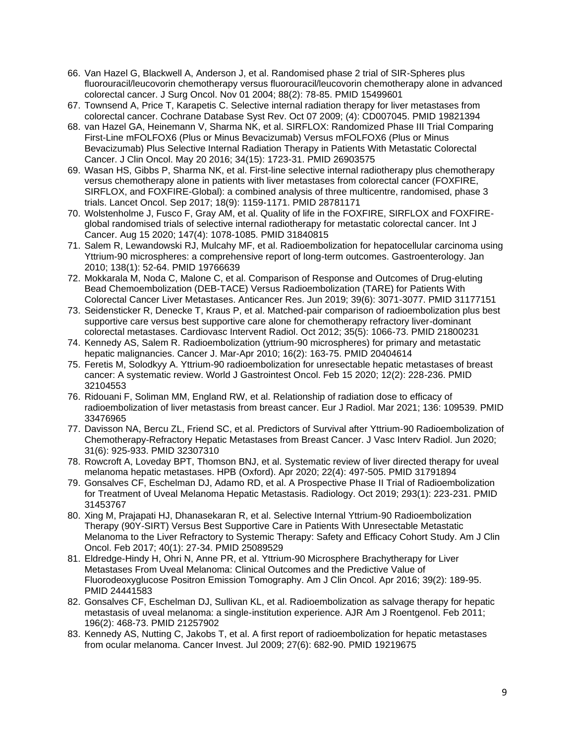- 66. Van Hazel G, Blackwell A, Anderson J, et al. Randomised phase 2 trial of SIR-Spheres plus fluorouracil/leucovorin chemotherapy versus fluorouracil/leucovorin chemotherapy alone in advanced colorectal cancer. J Surg Oncol. Nov 01 2004; 88(2): 78-85. PMID 15499601
- 67. Townsend A, Price T, Karapetis C. Selective internal radiation therapy for liver metastases from colorectal cancer. Cochrane Database Syst Rev. Oct 07 2009; (4): CD007045. PMID 19821394
- 68. van Hazel GA, Heinemann V, Sharma NK, et al. SIRFLOX: Randomized Phase III Trial Comparing First-Line mFOLFOX6 (Plus or Minus Bevacizumab) Versus mFOLFOX6 (Plus or Minus Bevacizumab) Plus Selective Internal Radiation Therapy in Patients With Metastatic Colorectal Cancer. J Clin Oncol. May 20 2016; 34(15): 1723-31. PMID 26903575
- 69. Wasan HS, Gibbs P, Sharma NK, et al. First-line selective internal radiotherapy plus chemotherapy versus chemotherapy alone in patients with liver metastases from colorectal cancer (FOXFIRE, SIRFLOX, and FOXFIRE-Global): a combined analysis of three multicentre, randomised, phase 3 trials. Lancet Oncol. Sep 2017; 18(9): 1159-1171. PMID 28781171
- 70. Wolstenholme J, Fusco F, Gray AM, et al. Quality of life in the FOXFIRE, SIRFLOX and FOXFIREglobal randomised trials of selective internal radiotherapy for metastatic colorectal cancer. Int J Cancer. Aug 15 2020; 147(4): 1078-1085. PMID 31840815
- 71. Salem R, Lewandowski RJ, Mulcahy MF, et al. Radioembolization for hepatocellular carcinoma using Yttrium-90 microspheres: a comprehensive report of long-term outcomes. Gastroenterology. Jan 2010; 138(1): 52-64. PMID 19766639
- 72. Mokkarala M, Noda C, Malone C, et al. Comparison of Response and Outcomes of Drug-eluting Bead Chemoembolization (DEB-TACE) Versus Radioembolization (TARE) for Patients With Colorectal Cancer Liver Metastases. Anticancer Res. Jun 2019; 39(6): 3071-3077. PMID 31177151
- 73. Seidensticker R, Denecke T, Kraus P, et al. Matched-pair comparison of radioembolization plus best supportive care versus best supportive care alone for chemotherapy refractory liver-dominant colorectal metastases. Cardiovasc Intervent Radiol. Oct 2012; 35(5): 1066-73. PMID 21800231
- 74. Kennedy AS, Salem R. Radioembolization (yttrium-90 microspheres) for primary and metastatic hepatic malignancies. Cancer J. Mar-Apr 2010; 16(2): 163-75. PMID 20404614
- 75. Feretis M, Solodkyy A. Yttrium-90 radioembolization for unresectable hepatic metastases of breast cancer: A systematic review. World J Gastrointest Oncol. Feb 15 2020; 12(2): 228-236. PMID 32104553
- 76. Ridouani F, Soliman MM, England RW, et al. Relationship of radiation dose to efficacy of radioembolization of liver metastasis from breast cancer. Eur J Radiol. Mar 2021; 136: 109539. PMID 33476965
- 77. Davisson NA, Bercu ZL, Friend SC, et al. Predictors of Survival after Yttrium-90 Radioembolization of Chemotherapy-Refractory Hepatic Metastases from Breast Cancer. J Vasc Interv Radiol. Jun 2020; 31(6): 925-933. PMID 32307310
- 78. Rowcroft A, Loveday BPT, Thomson BNJ, et al. Systematic review of liver directed therapy for uveal melanoma hepatic metastases. HPB (Oxford). Apr 2020; 22(4): 497-505. PMID 31791894
- 79. Gonsalves CF, Eschelman DJ, Adamo RD, et al. A Prospective Phase II Trial of Radioembolization for Treatment of Uveal Melanoma Hepatic Metastasis. Radiology. Oct 2019; 293(1): 223-231. PMID 31453767
- 80. Xing M, Prajapati HJ, Dhanasekaran R, et al. Selective Internal Yttrium-90 Radioembolization Therapy (90Y-SIRT) Versus Best Supportive Care in Patients With Unresectable Metastatic Melanoma to the Liver Refractory to Systemic Therapy: Safety and Efficacy Cohort Study. Am J Clin Oncol. Feb 2017; 40(1): 27-34. PMID 25089529
- 81. Eldredge-Hindy H, Ohri N, Anne PR, et al. Yttrium-90 Microsphere Brachytherapy for Liver Metastases From Uveal Melanoma: Clinical Outcomes and the Predictive Value of Fluorodeoxyglucose Positron Emission Tomography. Am J Clin Oncol. Apr 2016; 39(2): 189-95. PMID 24441583
- 82. Gonsalves CF, Eschelman DJ, Sullivan KL, et al. Radioembolization as salvage therapy for hepatic metastasis of uveal melanoma: a single-institution experience. AJR Am J Roentgenol. Feb 2011; 196(2): 468-73. PMID 21257902
- 83. Kennedy AS, Nutting C, Jakobs T, et al. A first report of radioembolization for hepatic metastases from ocular melanoma. Cancer Invest. Jul 2009; 27(6): 682-90. PMID 19219675